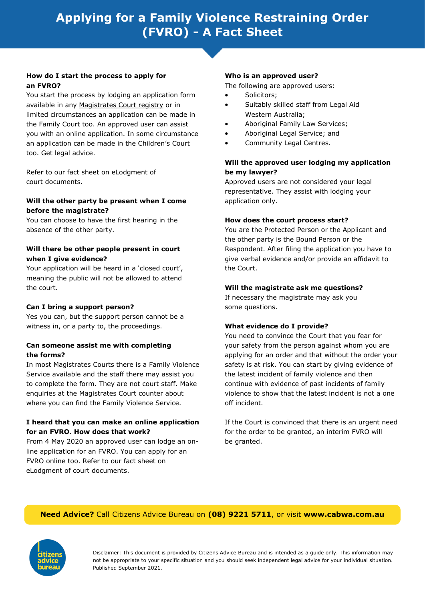#### **How do I start the process to apply for an FVRO?**

You start the process by lodging an application form available in any [Magistrates Court registry](http://www.magistratescourt.wa.gov.au) or in limited circumstances an application can be made in the Family Court too. An approved user can assist you with an online application. In some circumstance an application can be made in the Children's Court too. Get legal advice.

Refer to our fact sheet on eLodgment of court documents.

#### **Will the other party be present when I come before the magistrate?**

You can choose to have the first hearing in the absence of the other party.

#### **Will there be other people present in court when I give evidence?**

Your application will be heard in a 'closed court', meaning the public will not be allowed to attend the court.

## **Can I bring a support person?**

Yes you can, but the support person cannot be a witness in, or a party to, the proceedings.

#### **Can someone assist me with completing the forms?**

In most Magistrates Courts there is a Family Violence Service available and the staff there may assist you to complete the form. They are not court staff. Make enquiries at the Magistrates Court counter about where you can find the Family Violence Service.

## **I heard that you can make an online application for an FVRO. How does that work?**

From 4 May 2020 an approved user can lodge an online application for an FVRO. You can apply for an FVRO online too. Refer to our fact sheet on eLodgment of court documents.

## **Who is an approved user?**

The following are approved users:

- Solicitors;
- Suitably skilled staff from Legal Aid Western Australia;
- Aboriginal Family Law Services;
- Aboriginal Legal Service; and
- Community Legal Centres.

## **Will the approved user lodging my application be my lawyer?**

Approved users are not considered your legal representative. They assist with lodging your application only.

#### **How does the court process start?**

You are the Protected Person or the Applicant and the other party is the Bound Person or the Respondent. After filing the application you have to give verbal evidence and/or provide an affidavit to the Court.

## **Will the magistrate ask me questions?**

If necessary the magistrate may ask you some questions.

## **What evidence do I provide?**

You need to convince the Court that you fear for your safety from the person against whom you are applying for an order and that without the order your safety is at risk. You can start by giving evidence of the latest incident of family violence and then continue with evidence of past incidents of family violence to show that the latest incident is not a one off incident.

If the Court is convinced that there is an urgent need for the order to be granted, an interim FVRO will be granted.

## **Need Advice?** Call Citizens Advice Bureau on **(08) 9221 5711**, or visit **www.cabwa.com.au**



Disclaimer: This document is provided by Citizens Advice Bureau and is intended as a guide only. This information may not be appropriate to your specific situation and you should seek independent legal advice for your individual situation. Published September 2021.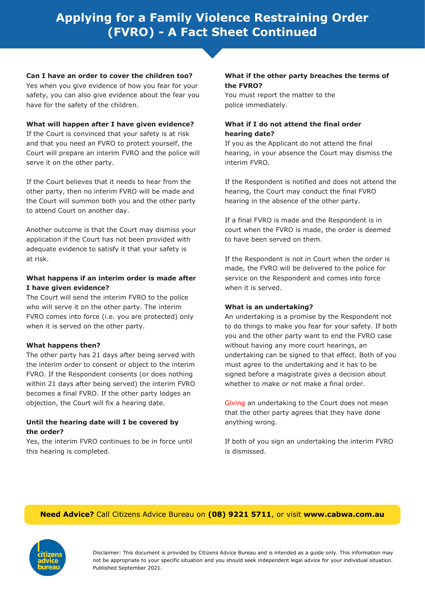# **Applying for a Family Violence Restraining Order (FVRO) - A Fact Sheet Continued**

**Can I have an order to cover the children too?**

Yes when you give evidence of how you fear for your safety, you can also give evidence about the fear you have for the safety of the children.

#### **What will happen after I have given evidence?**

If the Court is convinced that your safety is at risk and that you need an FVRO to protect yourself, the Court will prepare an interim FVRO and the police will serve it on the other party.

If the Court believes that it needs to hear from the other party, then no interim FVRO will be made and the Court will summon both you and the other party to attend Court on another day.

Another outcome is that the Court may dismiss your application if the Court has not been provided with adequate evidence to satisfy it that your safety is at risk.

#### **What happens if an interim order is made after I have given evidence?**

The Court will send the interim FVRO to the police who will serve it on the other party. The interim FVRO comes into force (i.e. you are protected) only when it is served on the other party.

## **What happens then?**

The other party has 21 days after being served with the interim order to consent or object to the interim FVRO. If the Respondent consents (or does nothing within 21 days after being served) the interim FVRO becomes a final FVRO. If the other party lodges an objection, the Court will fix a hearing date.

#### **Until the hearing date will I be covered by the order?**

Yes, the interim FVRO continues to be in force until this hearing is completed.

#### **What if the other party breaches the terms of the FVRO?**

You must report the matter to the police immediately.

## **What if I do not attend the final order hearing date?**

If you as the Applicant do not attend the final hearing, in your absence the Court may dismiss the interim FVRO.

If the Respondent is notified and does not attend the hearing, the Court may conduct the final FVRO hearing in the absence of the other party.

If a final FVRO is made and the Respondent is in court when the FVRO is made, the order is deemed to have been served on them.

If the Respondent is not in Court when the order is made, the FVRO will be delivered to the police for service on the Respondent and comes into force when it is served.

#### **What is an undertaking?**

An undertaking is a promise by the Respondent not to do things to make you fear for your safety. If both you and the other party want to end the FVRO case without having any more court hearings, an undertaking can be signed to that effect. Both of you must agree to the undertaking and it has to be signed before a magistrate gives a decision about whether to make or not make a final order.

Giving an undertaking to the Court does not mean that the other party agrees that they have done anything wrong.

If both of you sign an undertaking the interim FVRO is dismissed.

## **Need Advice?** Call Citizens Advice Bureau on **(08) 9221 5711**, or visit **www.cabwa.com.au**



Disclaimer: This document is provided by Citizens Advice Bureau and is intended as a guide only. This information may not be appropriate to your specific situation and you should seek independent legal advice for your individual situation. Published September 2021.